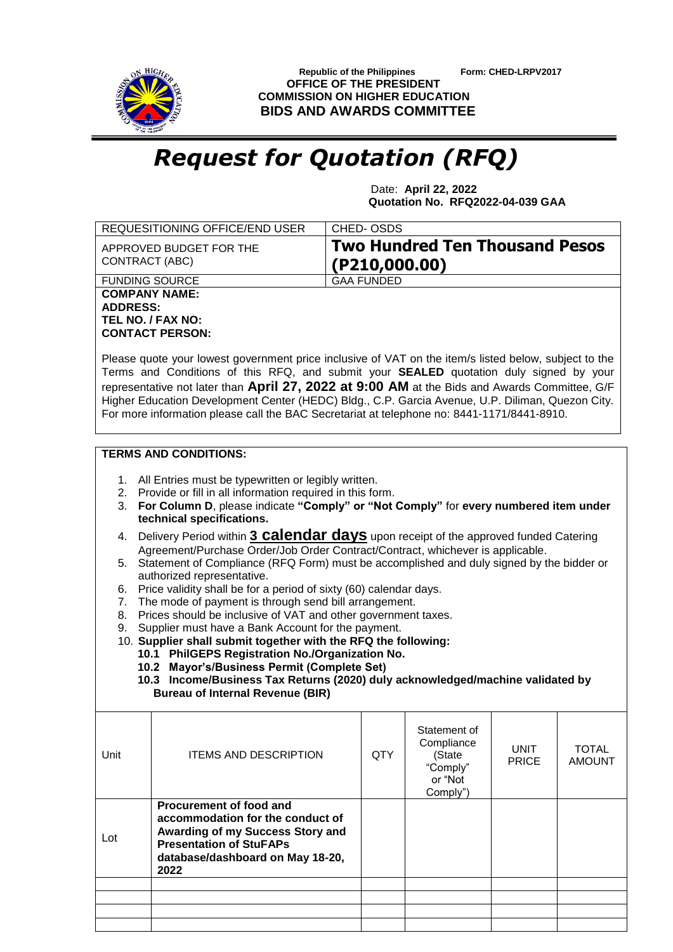

 **Republic of the Philippines Form: CHED-LRPV2017 OFFICE OF THE PRESIDENT COMMISSION ON HIGHER EDUCATION BIDS AND AWARDS COMMITTEE**

## *Request for Quotation (RFQ)*

 Date: **April 22, 2022 Quotation No. RFQ2022-04-039 GAA**

| REQUESITIONING OFFICE/END USER                                                                                                                                                                                                                                                                                                                                                                                                                                                                                                                                                                                                                                                                                                                                                                                                                                                                                                                                                                                                                                                                                                                                                        |                                                                                                                                                                                      | CHED-OSDS                                              |                                                                         |                      |                               |  |  |  |
|---------------------------------------------------------------------------------------------------------------------------------------------------------------------------------------------------------------------------------------------------------------------------------------------------------------------------------------------------------------------------------------------------------------------------------------------------------------------------------------------------------------------------------------------------------------------------------------------------------------------------------------------------------------------------------------------------------------------------------------------------------------------------------------------------------------------------------------------------------------------------------------------------------------------------------------------------------------------------------------------------------------------------------------------------------------------------------------------------------------------------------------------------------------------------------------|--------------------------------------------------------------------------------------------------------------------------------------------------------------------------------------|--------------------------------------------------------|-------------------------------------------------------------------------|----------------------|-------------------------------|--|--|--|
| APPROVED BUDGET FOR THE<br>CONTRACT (ABC)                                                                                                                                                                                                                                                                                                                                                                                                                                                                                                                                                                                                                                                                                                                                                                                                                                                                                                                                                                                                                                                                                                                                             |                                                                                                                                                                                      | <b>Two Hundred Ten Thousand Pesos</b><br>(P210,000.00) |                                                                         |                      |                               |  |  |  |
|                                                                                                                                                                                                                                                                                                                                                                                                                                                                                                                                                                                                                                                                                                                                                                                                                                                                                                                                                                                                                                                                                                                                                                                       | <b>FUNDING SOURCE</b>                                                                                                                                                                | <b>GAA FUNDED</b>                                      |                                                                         |                      |                               |  |  |  |
| <b>ADDRESS:</b>                                                                                                                                                                                                                                                                                                                                                                                                                                                                                                                                                                                                                                                                                                                                                                                                                                                                                                                                                                                                                                                                                                                                                                       | <b>COMPANY NAME:</b><br>TEL NO. / FAX NO:<br><b>CONTACT PERSON:</b>                                                                                                                  |                                                        |                                                                         |                      |                               |  |  |  |
| Please quote your lowest government price inclusive of VAT on the item/s listed below, subject to the<br>Terms and Conditions of this RFQ, and submit your <b>SEALED</b> quotation duly signed by your<br>representative not later than April 27, 2022 at 9:00 AM at the Bids and Awards Committee, G/F<br>Higher Education Development Center (HEDC) Bldg., C.P. Garcia Avenue, U.P. Diliman, Quezon City.<br>For more information please call the BAC Secretariat at telephone no: 8441-1171/8441-8910.                                                                                                                                                                                                                                                                                                                                                                                                                                                                                                                                                                                                                                                                             |                                                                                                                                                                                      |                                                        |                                                                         |                      |                               |  |  |  |
| <b>TERMS AND CONDITIONS:</b><br>1. All Entries must be typewritten or legibly written.<br>2. Provide or fill in all information required in this form.<br>For Column D, please indicate "Comply" or "Not Comply" for every numbered item under<br>3.<br>technical specifications.<br>Delivery Period within 3 <b>Calendar days</b> upon receipt of the approved funded Catering<br>4.<br>Agreement/Purchase Order/Job Order Contract/Contract, whichever is applicable.<br>Statement of Compliance (RFQ Form) must be accomplished and duly signed by the bidder or<br>5.<br>authorized representative.<br>Price validity shall be for a period of sixty (60) calendar days.<br>6.<br>The mode of payment is through send bill arrangement.<br>7.<br>Prices should be inclusive of VAT and other government taxes.<br>8.<br>Supplier must have a Bank Account for the payment.<br>9.<br>10. Supplier shall submit together with the RFQ the following:<br>10.1 PhilGEPS Registration No./Organization No.<br>10.2 Mayor's/Business Permit (Complete Set)<br>10.3 Income/Business Tax Returns (2020) duly acknowledged/machine validated by<br><b>Bureau of Internal Revenue (BIR)</b> |                                                                                                                                                                                      |                                                        |                                                                         |                      |                               |  |  |  |
| Unit                                                                                                                                                                                                                                                                                                                                                                                                                                                                                                                                                                                                                                                                                                                                                                                                                                                                                                                                                                                                                                                                                                                                                                                  | <b>ITEMS AND DESCRIPTION</b>                                                                                                                                                         | <b>QTY</b>                                             | Statement of<br>Compliance<br>(State<br>"Comply"<br>or "Not<br>Comply") | UNIT<br><b>PRICE</b> | <b>TOTAL</b><br><b>AMOUNT</b> |  |  |  |
| Lot                                                                                                                                                                                                                                                                                                                                                                                                                                                                                                                                                                                                                                                                                                                                                                                                                                                                                                                                                                                                                                                                                                                                                                                   | <b>Procurement of food and</b><br>accommodation for the conduct of<br>Awarding of my Success Story and<br><b>Presentation of StuFAPs</b><br>database/dashboard on May 18-20,<br>2022 |                                                        |                                                                         |                      |                               |  |  |  |
|                                                                                                                                                                                                                                                                                                                                                                                                                                                                                                                                                                                                                                                                                                                                                                                                                                                                                                                                                                                                                                                                                                                                                                                       |                                                                                                                                                                                      |                                                        |                                                                         |                      |                               |  |  |  |
|                                                                                                                                                                                                                                                                                                                                                                                                                                                                                                                                                                                                                                                                                                                                                                                                                                                                                                                                                                                                                                                                                                                                                                                       |                                                                                                                                                                                      |                                                        |                                                                         |                      |                               |  |  |  |
|                                                                                                                                                                                                                                                                                                                                                                                                                                                                                                                                                                                                                                                                                                                                                                                                                                                                                                                                                                                                                                                                                                                                                                                       |                                                                                                                                                                                      |                                                        |                                                                         |                      |                               |  |  |  |
|                                                                                                                                                                                                                                                                                                                                                                                                                                                                                                                                                                                                                                                                                                                                                                                                                                                                                                                                                                                                                                                                                                                                                                                       |                                                                                                                                                                                      |                                                        |                                                                         |                      |                               |  |  |  |